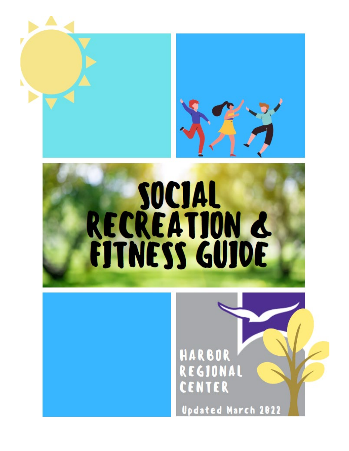



# HARBOR REGIONAL CENTER

**Updated March 2022**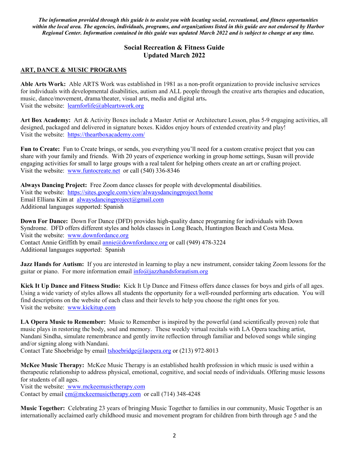*The information provided through this guide is to assist you with locating social, recreational, and fitness opportunities within the local area. The agencies, individuals, programs, and organizations listed in this guide are not endorsed by Harbor Regional Center. Information contained in this guide was updated March 2022 and is subject to change at any time.* 

## **Social Recreation & Fitness Guide Updated March 2022**

#### **ART, DANCE & MUSIC PROGRAMS**

**Able Arts Work:** Able ARTS Work was established in 1981 as a non-profit organization to provide inclusive services for individuals with developmental disabilities, autism and ALL people through the creative arts therapies and education, music, dance/movement, drama/theater, visual arts, media and digital arts**.**  Visit the website: [learnforlife@ableartswork.org](mailto:learnforlife@ableartswork.org)

**Art Box Academy:** Art & Activity Boxes include a Master Artist or Architecture Lesson, plus 5-9 engaging activities, all designed, packaged and delivered in signature boxes. Kiddos enjoy hours of extended creativity and play! Visit the website: <https://theartboxacademy.com/>

**Fun to Create:** Fun to Create brings, or sends, you everything you'll need for a custom creative project that you can share with your family and friends. With 20 years of experience working in group home settings, Susan will provide engaging activities for small to large groups with a real talent for helping others create an art or crafting project. Visit the website: [www.funtocreate.net](http://www.funtocreate.net/) or call (540) 336-8346

**Always Dancing Project:** Free Zoom dance classes for people with developmental disabilities. Visit the website: <https://sites.google.com/view/alwaysdancingproject/home> Email Elliana Kim at [alwaysdancingproject@gmail.com](mailto:alwaysdancingproject@gmail.com) Additional languages supported: Spanish

**Down For Dance:** Down For Dance (DFD) provides high-quality dance programing for individuals with Down Syndrome. DFD offers different styles and holds classes in Long Beach, Huntington Beach and Costa Mesa. Visit the website: [www.downfordance.org](http://www.downfordance.org/) Contact Annie Griffith by email [annie@downfordance.org](mailto:annie@downfordance.org) or call (949) 478-3224 Additional languages supported: Spanish

**Jazz Hands for Autism:** If you are interested in learning to play a new instrument, consider taking Zoom lessons for the guitar or piano. For more information email  $info@jazz$ handsforautism.org

**Kick It Up Dance and Fitness Studio:** Kick It Up Dance and Fitness offers dance classes for boys and girls of all ages. Using a wide variety of styles allows all students the opportunity for a well-rounded performing arts education. You will find descriptions on the website of each class and their levels to help you choose the right ones for you. Visit the website: [www.kickitup.com](http://www.kickitup.com/)

**LA Opera Music to Remember:** Music to Remember is inspired by the powerful (and scientifically proven) role that music plays in restoring the body, soul and memory. These weekly virtual recitals with LA Opera teaching artist, Nandani Sindha, simulate remembrance and gently invite reflection through familiar and beloved songs while singing and/or signing along with Nandani.

Contact Tate Shoebridge by email **tshoebridge**@laopera.org or (213) 972-8013

**McKee Music Therapy:** McKee Music Therapy is an established health profession in which music is used within a therapeutic relationship to address physical, emotional, cognitive, and social needs of individuals. Offering music lessons for students of all ages.

Visit the website: [www.mckeemusictherapy.com](http://www.mckeemusictherapy.com/) Contact by email  $\text{cm}/\text{Q/m}$ ckeemusictherapy.com or call (714) 348-4248

**Music Together:** Celebrating 23 years of bringing Music Together to families in our community, Music Together is an internationally acclaimed early childhood music and movement program for children from birth through age 5 and the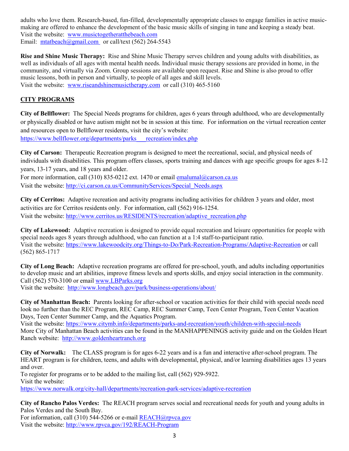adults who love them. Research-based, fun-filled, developmentally appropriate classes to engage families in active musicmaking are offered to enhance the development of the basic music skills of singing in tune and keeping a steady beat. Visit the website: www.musictogetheratthebeach.com Email: [mtatbeach@gmail.com](mailto:mtatbeach@gmail.com) or call/text (562) 264-5543

**Rise and Shine Music Therapy:** Rise and Shine Music Therapy serves children and young adults with disabilities, as well as individuals of all ages with mental health needs. Individual music therapy sessions are provided in home, in the community, and virtually via Zoom. Group sessions are available upon request. Rise and Shine is also proud to offer music lessons, both in person and virtually, to people of all ages and skill levels. Visit the website: [www.riseandshinemusictherapy.com](http://www.riseandshinemusictherapy.com/) or call (310) 465-5160

## **CITY PROGRAMS**

**City of Bellflower:** The Special Needs programs for children, ages 6 years through adulthood, who are developmentally or physically disabled or have autism might not be in session at this time. For information on the virtual recreation center and resources open to Bellflower residents, visit the city's website:

[https://www.bellflower.org/departments/parks\\_\\_\\_recreation/index.php](https://www.bellflower.org/departments/parks___recreation/index.php)

**City of Carson:** Therapeutic Recreation program is designed to meet the recreational, social, and physical needs of individuals with disabilities. This program offers classes, sports training and dances with age specific groups for ages 8-12 years, 13-17 years, and 18 years and older.

For more information, call (310) 835-0212 ext. 1470 or emai[l emalumal@carson.ca.us](mailto:emalumal@carson.ca.us) Visit the website[: http://ci.carson.ca.us/CommunityServices/Special\\_Needs.aspx](http://ci.carson.ca.us/CommunityServices/Special_Needs.aspx)

**City of Cerritos:** Adaptive recreation and activity programs including activities for children 3 years and older, most activities are for Cerritos residents only. For information, call (562) 916-1254. Visit the website[: http://www.cerritos.us/RESIDENTS/recreation/adaptive\\_recreation.php](http://www.cerritos.us/RESIDENTS/recreation/adaptive_recreation.php)

**City of Lakewood:** Adaptive recreation is designed to provide equal recreation and leisure opportunities for people with special needs ages 8 years through adulthood, who can function at a 1:4 staff-to-participant ratio. Visit the website[: https://www.lakewoodcity.org/Things-to-Do/Park-Recreation-Programs/Adaptive-Recreation](https://www.lakewoodcity.org/Things-to-Do/Park-Recreation-Programs/Adaptive-Recreation) or call (562) 865-1717

**City of Long Beach:** Adaptive recreation programs are offered for pre-school, youth, and adults including opportunities to develop music and art abilities, improve fitness levels and sports skills, and enjoy social interaction in the community. Call (562) 570-3100 or email [www.LBParks.org](http://www.lbparks.org/) 

Visit the website: <http://www.longbeach.gov/park/business-operations/about/>

**City of Manhattan Beach:** Parents looking for after-school or vacation activities for their child with special needs need look no further than th[e REC Program,](https://www.citymb.info/departments/parks-and-recreation/youth/rec-program/drop-in-and-extended-care-program) [REC Camp,](https://www.citymb.info/departments/parks-and-recreation/youth/rec-camps) [REC Summer Camp,](https://www.citymb.info/departments/parks-and-recreation/youth/rec-camps/rec-summer-camp) [Teen Center Program,](https://www.citymb.info/departments/parks-and-recreation/teen/teen-center) [Teen Center](https://www.citymb.info/departments/parks-and-recreation/teen/teen-center/vacation-programs) Vacation [Days,](https://www.citymb.info/departments/parks-and-recreation/teen/teen-center/vacation-programs) [Teen Center Summer Camp,](https://www.citymb.info/departments/parks-and-recreation/teen/teen-center/summer-camp) and the [Aquatics Program.](https://www.citymb.info/departments/parks-and-recreation/aquatics)

Visit the website[: https://www.citymb.info/departments/parks-and-recreation/youth/children-with-special-needs](https://www.citymb.info/departments/parks-and-recreation/youth/children-with-special-needs) More City of Manhattan Beach activities can be found in the MANHAPPENINGS activity guide and on the Golden Heart Ranch website: [http://www.goldenheartranch.org](http://www.goldenheartranch.org/)

**City of Norwalk:** The CLASS program is for ages 6-22 years and is a fun and interactive after-school program. The HEART program is for children, teens, and adults with developmental, physical, and/or learning disabilities ages 13 years and over.

To register for programs or to be added to the mailing list, call (562) 929-5922. Visit the website:

<https://www.norwalk.org/city-hall/departments/recreation-park-services/adaptive-recreation>

**City of Rancho Palos Verdes:** The REACH program serves social and recreational needs for youth and young adults in Palos Verdes and the South Bay.

For information, call (310) 544-5266 or e-mail [REACH@rpvca.gov](mailto:REACH@rpvca.gov) Visit the website[: http://www.rpvca.gov/192/REACH-Program](http://www.rpvca.gov/192/REACH-Program)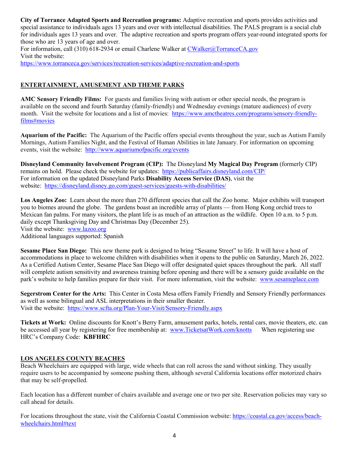**City of Torrance Adapted Sports and Recreation programs:** Adaptive recreation and sports provides activities and special assistance to individuals ages 13 years and over with intellectual disabilities. The PALS program is a social club for individuals ages 13 years and over. The adaptive recreation and sports program offers year-round integrated sports for those who are 13 years of age and over.

For information, call (310) 618-2934 or email Charlene Walker at [CWalker@TorranceCA.gov](mailto:CWalker@TorranceCA.gov) Visit the website: <https://www.torranceca.gov/services/recreation-services/adaptive-recreation-and-sports>

### **ENTERTAINMENT, AMUSEMENT AND THEME PARKS**

**AMC Sensory Friendly Films:** For guests and families living with autism or other special needs, the program is available on the second and fourth Saturday (family-friendly) and Wednesday evenings (mature audiences) of every month. Visit the website for locations and a list of movies: [https://www.amctheatres.com/programs/sensory-friendly](https://www.amctheatres.com/programs/sensory-friendly-films#movies)[films#movies](https://www.amctheatres.com/programs/sensory-friendly-films#movies)

**Aquarium of the Pacific:** The Aquarium of the Pacific offers special events throughout the year, such as Autism Family Mornings, Autism Families Night, and the Festival of Human Abilities in late January. For information on upcoming events, visit the website:<http://www.aquariumofpacific.org/events>

**Disneyland Community Involvement Program (CIP):** The Disneyland **My Magical Day Program** (formerly CIP) remains on hold. Please check the website for updates: <https://publicaffairs.disneyland.com/CIP/> For information on the updated Disneyland Parks **Disability Access Service (DAS)**, visit the website: <https://disneyland.disney.go.com/guest-services/guests-with-disabilities/>

**Los Angeles Zoo:** Learn about the more than 270 different species that call the Zoo home. Major exhibits will transport you to biomes around the globe. The gardens boast an incredible array of plants — from Hong Kong orchid trees to Mexican fan palms. For many visitors, the plant life is as much of an attraction as the wildlife. Open 10 a.m. to 5 p.m. daily except Thanksgiving Day and Christmas Day (December 25). Visit the website: [www.lazoo.org](http://www.lazoo.org/)

Additional languages supported: Spanish

**Sesame Place San Diego:** This new theme park is designed to bring "Sesame Street" to life. It will have a host of accommodations in place to welcome children with disabilities when it opens to the public on Saturday, March 26, 2022. As a Certified Autism Center, Sesame Place San Diego will offer designated quiet spaces throughout the park. All staff will complete autism sensitivity and awareness training before opening and there will be a sensory guide available on the park's website to help families prepare for their visit. For more information, visit the website: [www.sesameplace.com](http://www.sesameplace.com/)

**Segerstrom Center for the Arts:** This Center in Costa Mesa offers Family Friendly and Sensory Friendly performances as well as some bilingual and ASL interpretations in their smaller theater. Visit the website: <https://www.scfta.org/Plan-Your-Visit/Sensory-Friendly.aspx>

**Tickets at Work:** Online discounts for Knott's Berry Farm, amusement parks, hotels, rental cars, movie theaters, etc. can be accessed all year by registering for free membership at: [www.TicketsatWork.com/knotts](http://www.ticketsatwork.com/knotts) When registering use HRC's Company Code: **KBFHRC**

#### **LOS ANGELES COUNTY BEACHES**

Beach Wheelchairs are equipped with large, wide wheels that can roll across the sand without sinking. They usually require users to be accompanied by someone pushing them, although several California locations offer motorized chairs that may be self-propelled.

Each location has a different number of chairs available and average one or two per site. Reservation policies may vary so call ahead for details.

For locations throughout the state, visit the California Coastal Commission website: [https://coastal.ca.gov/access/beach](https://coastal.ca.gov/access/beach-wheelchairs.html#text)[wheelchairs.html#text](https://coastal.ca.gov/access/beach-wheelchairs.html#text)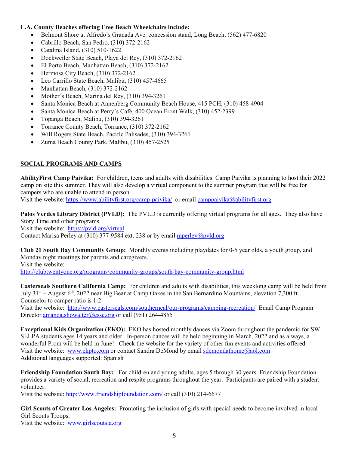#### **L.A. County Beaches offering Free Beach Wheelchairs include:**

- Belmont Shore at Alfredo's Granada Ave. concession stand, Long Beach, (562) 477-6820
- Cabrillo Beach, San Pedro, (310) 372-2162
- Catalina Island, (310) 510-1622
- Dockweiler State Beach, Playa del Rey, (310) 372-2162
- El Porto Beach, Manhattan Beach, (310) 372-2162
- Hermosa City Beach, (310) 372-2162
- Leo Carrillo State Beach, Malibu, (310) 457-4665
- Manhattan Beach, (310) 372-2162
- Mother's Beach, Marina del Rey, (310) 394-3261
- Santa Monica Beach at Annenberg Community Beach House, 415 PCH, (310) 458-4904
- Santa Monica Beach at Perry's Café, 400 Ocean Front Walk, (310) 452-2399
- Topanga Beach, Malibu, (310) 394-3261
- Torrance County Beach, Torrance, (310) 372-2162
- Will Rogers State Beach, Pacific Palisades, (310) 394-3261
- Zuma Beach County Park, Malibu, (310) 457-2525

#### **SOCIAL PROGRAMS AND CAMPS**

**AbilityFirst Camp Paivika:** For children, teens and adults with disabilities. Camp Paivika is planning to host their 2022 camp on site this summer. They will also develop a virtual component to the summer program that will be free for campers who are unable to attend in person.

Visit the website[: https://www.abilityfirst.org/camp-paivika/](https://www.abilityfirst.org/camp-paivika/) or email [camppaivika@abilityfirst.org](mailto:camppaivika@abilityfirst.org)

**Palos Verdes Library District (PVLD):** The PVLD is currently offering virtual programs for all ages. They also have Story Time and other programs.

Visit the website: <https://pvld.org/virtual>

Contact Marisa Perley at (310) 377-9584 ext. 238 or by email [mperley@pvld.org](mailto:mperley@pvld.org)

**Club 21 South Bay Community Group:** Monthly events including playdates for 0-5 year olds, a youth group, and Monday night meetings for parents and caregivers. Visit the website:

<http://clubtwentyone.org/programs/community-groups/south-bay-community-group.html>

**Easterseals Southern California Camp:** For children and adults with disabilities, this weeklong camp will be held from July 31st – August 6th, 2022 near Big Bear at Camp Oakes in the San Bernardino Mountains, elevation 7,300 ft. Counselor to camper ratio is 1:2.

Visit the website: <http://www.easterseals.com/southerncal/our-programs/camping-recreation/>Email Camp Program Director [amanda.showalter@essc.org](mailto:amanda.showalter@essc.org) or call (951) 264-4855

**Exceptional Kids Organization (EKO):** EKO has hosted monthly dances via Zoom throughout the pandemic for SW SELPA students ages 14 years and older. In-person dances will be held beginning in March, 2022 and as always, a wonderful Prom will be held in June! Check the website for the variety of other fun events and activities offered. Visit the website: [www.ekpto.com](http://www.ekpto.com/) or contact Sandra DeMond by email sdemondathome@aol.com Additional languages supported: Spanish

**Friendship Foundation South Bay:** For children and young adults, ages 5 through 30 years. Friendship Foundation provides a variety of social, recreation and respite programs throughout the year. Participants are paired with a student volunteer.

Visit the website[: http://www.friendshipfoundation.com/](http://www.friendshipfoundation.com/) or call (310) 214-6677

**Girl Scouts of Greater Los Angeles:** Promoting the inclusion of girls with special needs to become involved in local Girl Scouts Troops.

Visit the website: [www.girlscoutsla.org](http://www.girlscoutsla.org/)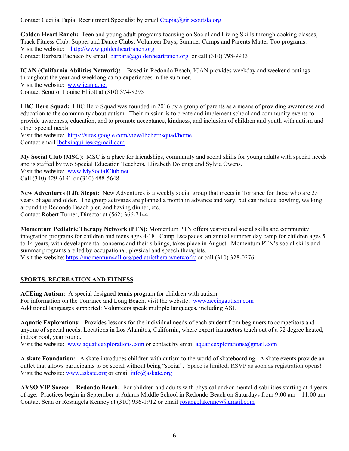Contact Cecilia Tapia, Recruitment Specialist by email [Ctapia@girlscoutsla.org](mailto:Ctapia@girlscoutsla.org)

**Golden Heart Ranch:** Teen and young adult programs focusing on Social and Living Skills through cooking classes, Track Fitness Club, Supper and Dance Clubs, Volunteer Days, Summer Camps and Parents Matter Too programs. Visit the website: [http://www.goldenheartranch.org](http://www.goldenheartranch.org/) Contact Barbara Pacheco by email [barbara@goldenheartranch.org](mailto:barbara@goldenheartranch.org) or call (310) 798-9933

**ICAN (California Abilities Network):** Based in Redondo Beach, ICAN provides weekday and weekend outings throughout the year and weeklong camp experiences in the summer. Visit the website:[www.icanla.net](http://www.icanla.net/) Contact Scott or Louise Elliott at (310) 374-8295

**LBC Hero Squad:** LBC Hero Squad was founded in 2016 by a group of parents as a means of providing awareness and education to the community about autism. Their mission is to create and implement school and community events to provide awareness, education, and to promote acceptance, kindness, and inclusion of children and youth with autism and other special needs.

Visit the website: <https://sites.google.com/view/lbcherosquad/home> Contact email [lbchsinquiries@gmail.com](mailto:lbchsinquiries@gmail.com)

**My Social Club (MSC**): MSC is a place for friendships, community and social skills for young adults with special needs and is staffed by two Special Education Teachers, Elizabeth Dolenga and Sylvia Owens. Visit the website: [www.MySocialClub.net](http://www.mysocialclub.net/) Call (310) 429-6191 or (310) 488-5648

**New Adventures (Life Steps):** New Adventures is a weekly social group that meets in Torrance for those who are 25 years of age and older. The group activities are planned a month in advance and vary, but can include bowling, walking around the Redondo Beach pier, and having dinner, etc. Contact Robert Turner, Director at (562) 366-7144

**Momentum Pediatric Therapy Network (PTN):** Momentum PTN offers year-round social skills and community integration programs for children and teens ages 4-18. Camp Escapades, an annual summer day camp for children ages 5 to 14 years, with developmental concerns and their siblings, takes place in August. Momentum PTN's social skills and summer programs are led by occupational, physical and speech therapists. Visit the website: <https://momentum4all.org/pediatrictherapynetwork/> or call (310) 328-0276

## **SPORTS, RECREATION AND FITNESS**

**ACEing Autism:** A special designed tennis program for children with autism. For information on the Torrance and Long Beach, visit the website: [www.aceingautism.com](http://www.aceingautism.com/) Additional languages supported: Volunteers speak multiple languages, including ASL

**Aquatic Explorations:** Provides lessons for the individual needs of each student from beginners to competitors and anyone of special needs. Locations in Los Alamitos, California, where expert instructors teach out of a 92 degree heated, indoor pool, year round.

Visit the website: [www.aquaticexplorations.com](http://www.aquaticexplorations.com/) or contact by email [aquaticexplorations@gmail.com](mailto:aquaticexplorations@gmail.com)

**A.skate Foundation:** A.skate introduces children with autism to the world of skateboarding. A.skate events provide an outlet that allows participants to be social without being "social". Space is limited; RSVP as soon as registration opens**!** Visit the website[: www.askate.org](http://www.askate.org/) or email [info@askate.org](mailto:info@askate.org)

**AYSO VIP Soccer – Redondo Beach:** For children and adults with physical and/or mental disabilities starting at 4 years of age. Practices begin in September at Adams Middle School in Redondo Beach on Saturdays from 9:00 am – 11:00 am. Contact Sean or Rosangela Kenney at (310) 936-1912 or email [rosangelakenney@gmail.com](mailto:rosangelakenney@gmail.com)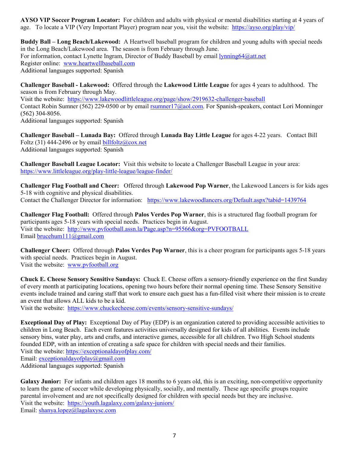**AYSO VIP Soccer Program Locator:** For children and adults with physical or mental disabilities starting at 4 years of age. To locate a VIP (Very Important Player) program near you, visit the website: <https://ayso.org/play/vip/>

**Buddy Ball – Long Beach/Lakewood:** A Heartwell baseball program for children and young adults with special needs in the Long Beach/Lakewood area. The season is from February through June. For information, contact Lynette Ingram, Director of Buddy Baseball by email [lynning64@att.net](mailto:lynning64@att.net) Register online: [www.heartwellbaseball.com](http://www.heartwellbaseball.com/) Additional languages supported: Spanish

**Challenger Baseball - Lakewood:** Offered through the **Lakewood Little League** for ages 4 years to adulthood. The season is from February through May. Visit the website: <https://www.lakewoodlittleleague.org/page/show/2919632-challenger-baseball> Contact Robin Sumner (562) 229-0500 or by email [rsumner17@aol.com.](mailto:rsumner17@aol.com) For Spanish-speakers, contact Lori Monninger (562) 304-8056.

Additional languages supported: Spanish

**Challenger Baseball – Lunada Bay:** Offered through **Lunada Bay Little League** for ages 4-22 years. Contact Bill Foltz (31) 444-2496 or by email [billfoltz@cox.net](mailto:billfoltz@cox.net) Additional languages supported: Spanish

**Challenger Baseball League Locator:** Visit this website to locate a Challenger Baseball League in your area: <https://www.littleleague.org/play-little-league/league-finder/>

**Challenger Flag Football and Cheer:** Offered through **Lakewood Pop Warner**, the Lakewood Lancers is for kids ages 5-18 with cognitive and physical disabilities. Contact the Challenger Director for information: <https://www.lakewoodlancers.org/Default.aspx?tabid=1439764>

**Challenger Flag Football:** Offered through **Palos Verdes Pop Warner**, this is a structured flag football program for participants ages 5-18 years with special needs. Practices begin in August. Visit the website: <http://www.pvfootball.assn.la/Page.asp?n=95566&org=PVFOOTBALL> Email [brucehum111@gmail.com](mailto:brucehum111@gmail.com)

**Challenger Cheer:** Offered through **Palos Verdes Pop Warner**, this is a cheer program for participants ages 5-18 years with special needs. Practices begin in August. Visit the website: [www.pvfootball.org](http://www.pvfootball.org/) 

**Chuck E. Cheese Sensory Sensitive Sundays:** Chuck E. Cheese offers a sensory-friendly experience on the first Sunday of every month at participating locations, opening two hours before their normal opening time. These Sensory Sensitive events include trained and caring staff that work to ensure each guest has a fun-filled visit where their mission is to create an event that allows ALL kids to be a kid.

Visit the website: <https://www.chuckecheese.com/events/sensory-sensitive-sundays/>

**Exceptional Day of Play:** Exceptional Day of Play (EDP) is an organization catered to providing accessible activities to children in Long Beach. Each event features activities universally designed for kids of all abilities. Events include sensory bins, water play, arts and crafts, and interactive games, accessible for all children. Two High School students founded EDP, with an intention of creating a safe space for children with special needs and their families. Visit the website[: https://exceptionaldayofplay.com/](https://exceptionaldayofplay.com/) Email: [exceptionaldayofplay@gmail.com](mailto:exceptionaldayofplay@gmail.com) Additional languages supported: Spanish

Galaxy Junior: For infants and children ages 18 months to 6 years old, this is an exciting, non-competitive opportunity to learn the game of soccer while developing physically, socially, and mentally. These age specific groups require parental involvement and are not specifically designed for children with special needs but they are inclusive. Visit the website: <https://youth.lagalaxy.com/galaxy-juniors/> Email: [shanya.lopez@lagalaxysc.com](mailto:shanya.lopez@lagalaxysc.com)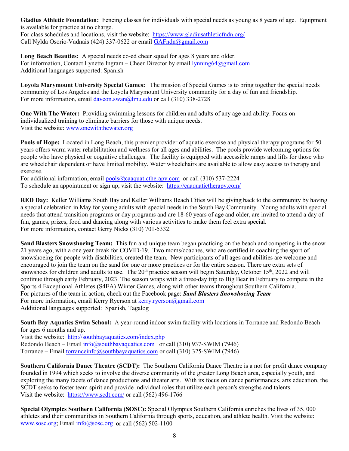**Gladius Athletic Foundation:** Fencing classes for individuals with special needs as young as 8 years of age. Equipment is available for practice at no charge. For class schedules and locations, visit the website: <https://www.gladiusathleticfndn.org/>

Call Nylda Osorio-Vadnais (424) 337-0622 or email [GAFndn@gmail.com](mailto:GAFndn@gmail.com)

**Long Beach Beauties:** A special needs co-ed cheer squad for ages 8 years and older. For information, Contact Lynette Ingram – Cheer Director by email [lynning64@gmail.com](mailto:lynning64@gmail.com) Additional languages supported: Spanish

**Loyola Marymount University Special Games:** The mission of Special Games is to bring together the special needs community of Los Angeles and the Loyola Marymount University community for a day of fun and friendship. For more information, email [daveon.swan@lmu.edu](mailto:daveon.swan@lmu.edu) or call (310) 338-2728

**One With The Water:** Providing swimming lessons for children and adults of any age and ability. Focus on individualized training to eliminate barriers for those with unique needs. Visit the website[: www.onewiththewater.org](http://www.onewiththewater.org/)

**Pools of Hope:** Located in Long Beach, this premier provider of aquatic exercise and physical therapy programs for 50 years offers warm water rehabilitation and wellness for all ages and abilities. The pools provide welcoming options for people who have physical or cognitive challenges. The facility is equipped with accessible ramps and lifts for those who are wheelchair dependent or have limited mobility. Water wheelchairs are available to allow easy access to therapy and exercise.

For additional information, email [pools@caaquatictherapy.com](mailto:pools@caaquatictherapy.com) or call (310) 537-2224 To schedule an appointment or sign up, visit the website: <https://caaquatictherapy.com/>

**RED Day:** Keller Williams South Bay and Keller Williams Beach Cities will be giving back to the community by having a special celebration in May for young adults with special needs in the South Bay Community.Young adults with special needs that attend transition programs or day programs and are 18-60 years of age and older, are invited to attend a day of fun, games, prizes, food and dancing along with various activities to make them feel extra special. For more information, contact Gerry Nicks (310) 701-5332.

**Sand Blasters Snowshoeing Team:** This fun and unique team began practicing on the beach and competing in the snow 21 years ago, with a one year break for COVID-19. Two moms/coaches, who are certified in coaching the sport of snowshoeing for people with disabilities, created the team. New participants of all ages and abilities are welcome and encouraged to join the team on the sand for one or more practices or for the entire season. There are extra sets of snowshoes for children and adults to use. The  $20<sup>th</sup>$  practice season will begin Saturday, October 15<sup>th</sup>, 2022 and will continue through early February, 2023. The season wraps with a three-day trip to Big Bear in February to compete in the Sports 4 Exceptional Athletes (S4EA) Winter Games, along with other teams throughout Southern California. For pictures of the team in action, check out the Facebook page: *Sand Blasters Snowshoeing Team* For more information, email Kerry Ryerson at [kerry.ryerson@gmail.com](mailto:kerry.ryerson@gmail.com) Additional languages supported: Spanish, Tagalog

**South Bay Aquatics Swim School:** A year-round indoor swim facility with locations in Torrance and Redondo Beach for ages 6 months and up.

Visit the website: <http://southbayaquatics.com/index.php> Redondo Beach – Email [info@southbayaquatics.com](mailto:info@southbayaquatics.com) or call (310) 937-SWIM (7946) Torrance – Email [torranceinfo@southbayaquatics.com](mailto:torranceinfo@southbayaquatics.com) or call (310) 325-SWIM (7946)

**Southern California Dance Theatre (SCDT):** The Southern California Dance Theatre is a not for profit dance company founded in 1994 which seeks to involve the diverse community of the greater Long Beach area, especially youth, and exploring the many facets of dance productions and theater arts. With its focus on dance performances, arts education, the SCDT seeks to foster team spirit and provide individual roles that utilize each person's strengths and talents. Visit the website:<https://www.scdt.com/> or call (562) 496-1766

**Special Olympics Southern California (SOSC):** Special Olympics Southern California enriches the lives of 35, 000 athletes and their communities in Southern California through sports, education, and athlete health. Visit the website: [www.sosc.org;](http://www.sosc.org/) Email  $info@sosc.org$  or call (562) 502-1100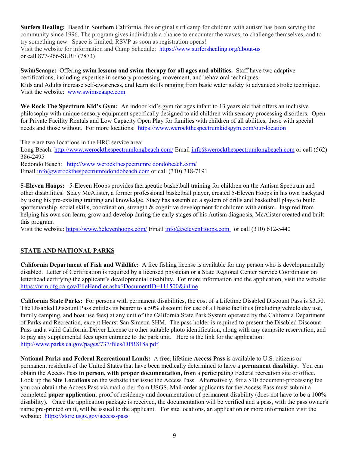**Surfers Healing:** Based in Southern California, this original surf camp for children with autism has been serving the community since 1996. The program gives individuals a chance to encounter the waves, to challenge themselves, and to try something new. Space is limited; RSVP as soon as registration opens! Visit the website for information and Camp Schedule: <https://www.surfershealing.org/about-us>

or call 877-966-SURF (7873)

**SwimScaape:** Offering **swim lessons and swim therapy for all ages and abilities.** Staff have two adaptive certifications, including expertise in sensory processing, movement, and behavioral techniques. Kids and Adults increase self-awareness, and learn skills ranging from basic water safety to advanced stroke technique. Visit the website: [www.swimscaape.com](http://www.swimscaape.com/)

**We Rock The Spectrum Kid's Gym:** An indoor kid's gym for ages infant to 13 years old that offers an inclusive philosophy with unique sensory equipment specifically designed to aid children with sensory processing disorders. Open for Private Facility Rentals and Low Capacity Open Play for families with children of all abilities, those with special needs and those without. For more locations: <https://www.werockthespectrumkidsgym.com/our-location>

There are two locations in the HRC service area:

Long Beach:<http://www.werockthespectrumlongbeach.com/> Email [info@werockthespectrumlongbeach.com](mailto:info@werockthespectrumlongbeach.com) or call (562) 386-2495

Redondo Beach: http://www.werockthespectrumre dondobeach.com/ Email [info@werockthespectrumredondobeach.com](mailto:info@werockthespectrumredondobeach.com) or call (310) 318-7191

**5-Eleven Hoops:** 5-Eleven Hoops provides therapeutic basketball training for children on the Autism Spectrum and other disabilities. Stacy McAlister, a former professional basketball player, created 5-Eleven Hoops in his own backyard by using his pre-existing training and knowledge. Stacy has assembled a system of drills and basketball plays to build sportsmanship, social skills, coordination, strength & cognitive development for children with autism. Inspired from helping his own son learn, grow and develop during the early stages of his Autism diagnosis, McAlister created and built this program.

Visit the website: <https://www.5elevenhoops.com/> Email [info@5elevenHoops.com](mailto:info@5elevenHoops.com) or call (310) 612-5440

# **STATE AND NATIONAL PARKS**

**California Department of Fish and Wildlife:** A free fishing license is available for any person who is developmentally disabled. Letter of Certification is required by a licensed physician or a State Regional Center Service Coordinator on letterhead certifying the applicant's developmental disability. For more information and the application, visit the website: <https://nrm.dfg.ca.gov/FileHandler.ashx?DocumentID=111500&inline>

**California State Parks:** For persons with permanent disabilities, the cost of a Lifetime Disabled Discount Pass is \$3.50. The Disabled Discount Pass entitles its bearer to a 50% discount for use of all basic facilities (including vehicle day use, family camping, and boat use fees) at any unit of the California State Park System operated by the California Department of Parks and Recreation, except Hearst San Simeon SHM. The pass holder is required to present the Disabled Discount Pass and a valid California Driver License or other suitable photo identification, along with any campsite reservation, and to pay any supplemental fees upon entrance to the park unit. Here is the link for the application: <http://www.parks.ca.gov/pages/737/files/DPR818a.pdf>

**National Parks and Federal Recreational Lands:** A free, lifetime **Access Pass** is available to U.S. citizens or permanent residents of the United States that have been medically determined to have a **permanent disability.** You can obtain the Access Pass **in person, with proper documentation,** from a participating Federal recreation site or office. Look up the **[Site Locations](https://store.usgs.gov/sites/default/files/PassIssuanceList.pdf)** on the website that issue the Access Pass. Alternatively, for a \$10 document-processing fee you can obtain the Access Pass via mail order from USGS. Mail-order applicants for the Access Pass must submit a completed **[paper application](https://store.usgs.gov/sites/default/files/access_pass_application.pdf)**, proof of residency and documentation of permanent disability (does not have to be a 100% disability). Once the application package is received, the documentation will be verified and a pass, with the pass owner's name pre-printed on it, will be issued to the applicant. For site locations, an application or more information visit the website: <https://store.usgs.gov/access-pass>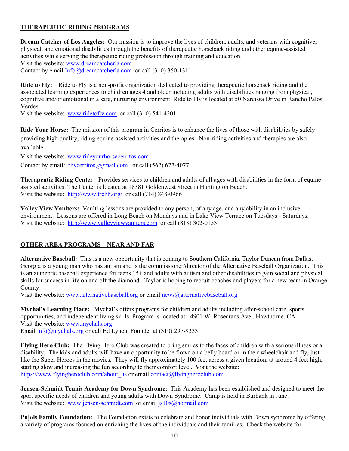#### **THERAPEUTIC RIDING PROGRAMS**

**Dream Catcher of Los Angeles:** Our mission is to improve the lives of children, adults, and veterans with cognitive, physical, and emotional disabilities through the benefits of therapeutic horseback riding and other equine-assisted activities while serving the therapeutic riding profession through training and education. Visit the website[: www.dreamcatcherla.com](http://www.dreamcatcherla.com/)  Contact by email [Info@dreamcatcherla.com](mailto:Info@dreamcatcherla.com) or call (310) 350-1311

**Ride to Fly:** Ride to Fly is a non-profit organization dedicated to providing therapeutic horseback riding and the associated learning experiences to children ages 4 and older including adults with disabilities ranging from physical, cognitive and/or emotional in a safe, nurturing environment. Ride to Fly is located at 50 Narcissa Drive in Rancho Palos Verdes.

Visit the website: [www.ridetofly.com](http://www.ridetofly.com/) or call (310) 541-4201

**Ride Your Horse:** The mission of this program in Cerritos is to enhance the lives of those with disabilities by safely providing high-quality, riding equine-assisted activities and therapies. Non-riding activities and therapies are also available.

Visit the website: [www.rideyourhorsecerritos.com](http://www.rideyourhorsecerritos.com/) 

Contact by email: [rhycerritos@gmail.com](mailto:rhycerritos@gmail.com) or call (562) 677-4077

**Therapeutic Riding Center:** Provides services to children and adults of all ages with disabilities in the form of equine assisted activities. The Center is located at 18381 Goldenwest Street in Huntington Beach. Visit the website: <http://www.trchb.org/>or call (714) 848-0966

**Valley View Vaulters:** Vaulting lessons are provided to any person, of any age, and any ability in an inclusive environment. Lessons are offered in Long Beach on Mondays and in Lake View Terrace on Tuesdays - Saturdays. Visit the website: [http://www.valleyviewvaulters.com](http://www.valleyviewvaulters.com/) or call (818) 302-0153

#### **OTHER AREA PROGRAMS – NEAR AND FAR**

**Alternative Baseball:** This is a new opportunity that is coming to Southern California. Taylor Duncan from Dallas, Georgia is a young man who has autism and is the commissioner/director of the Alternative Baseball Organization. This is an authentic baseball experience for teens 15+ and adults with autism and other disabilities to gain social and physical skills for success in life on and off the diamond. Taylor is hoping to recruit coaches and players for a new team in Orange County!

Visit the website[: www.alternativebaseball.org](http://www.alternativebaseball.org/) or email [news@alternativebaseball.org](mailto:news@alternativebaseball.org) 

**Mychal's Learning Place:** Mychal's offers programs for children and adults including after-school care, sports opportunities, and independent living skills. Program is located at: 4901 W. Rosecrans Ave., Hawthorne, CA. Visit the website: [www.mychals.org](http://www.mychals.org/) Email [info@mychals.org](mailto:info@mychals.org) or call Ed Lynch, Founder at (310) 297-9333

**Flying Hero Club:** The Flying Hero Club was created to bring smiles to the faces of children with a serious illness or a disability. The kids and adults will have an opportunity to be flown on a belly board or in their wheelchair and fly, just like the Super Heroes in the movies. They will fly approximately 100 feet across a given location, at around 4 feet high, starting slow and increasing the fun according to their comfort level. Visit the website: [https://www.flyingheroclub.com/about\\_us](https://www.flyingheroclub.com/about_us) or email [contact@flyingheroclub.com](mailto:contact@flyingheroclub.com)

**Jensen-Schmidt Tennis Academy for Down Syndrome:** This Academy has been established and designed to meet the sport specific needs of children and young adults with Down Syndrome. Camp is held in Burbank in June. Visit the website: [www.jensen-schmidt.com](http://www.jensen-schmidt.com/) or email [js10s@hotmail.com](mailto:js10s@hotmail.com)

**Pujols Family Foundation:** The Foundation exists to celebrate and honor individuals with Down syndrome by offering a variety of programs focused on enriching the lives of the individuals and their families. Check the website for